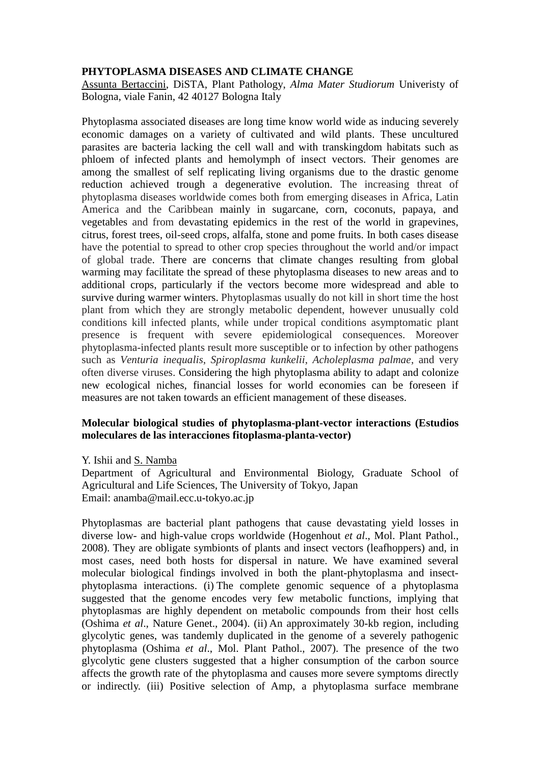### **PHYTOPLASMA DISEASES AND CLIMATE CHANGE**

Assunta Bertaccini, DiSTA, Plant Pathology, *Alma Mater Studiorum* Univeristy of Bologna, viale Fanin, 42 40127 Bologna Italy

Phytoplasma associated diseases are long time know world wide as inducing severely economic damages on a variety of cultivated and wild plants. These uncultured parasites are bacteria lacking the cell wall and with transkingdom habitats such as phloem of infected plants and hemolymph of insect vectors. Their genomes are among the smallest of self replicating living organisms due to the drastic genome reduction achieved trough a degenerative evolution. The increasing threat of phytoplasma diseases worldwide comes both from emerging diseases in Africa, Latin America and the Caribbean mainly in sugarcane, corn, coconuts, papaya, and vegetables and from devastating epidemics in the rest of the world in grapevines, citrus, forest trees, oil-seed crops, alfalfa, stone and pome fruits. In both cases disease have the potential to spread to other crop species throughout the world and/or impact of global trade. There are concerns that climate changes resulting from global warming may facilitate the spread of these phytoplasma diseases to new areas and to additional crops, particularly if the vectors become more widespread and able to survive during warmer winters. Phytoplasmas usually do not kill in short time the host plant from which they are strongly metabolic dependent, however unusually cold conditions kill infected plants, while under tropical conditions asymptomatic plant presence is frequent with severe epidemiological consequences. Moreover phytoplasma-infected plants result more susceptible or to infection by other pathogens such as *Venturia inequalis*, *Spiroplasma kunkelii*, *Acholeplasma palmae*, and very often diverse viruses. Considering the high phytoplasma ability to adapt and colonize new ecological niches, financial losses for world economies can be foreseen if measures are not taken towards an efficient management of these diseases.

## **Molecular biological studies of phytoplasma-plant-vector interactions (Estudios moleculares de las interacciones fitoplasma-planta-vector)**

Y. Ishii and S. Namba

Department of Agricultural and Environmental Biology, Graduate School of Agricultural and Life Sciences, The University of Tokyo, Japan Email: anamba@mail.ecc.u-tokyo.ac.jp

Phytoplasmas are bacterial plant pathogens that cause devastating yield losses in diverse low- and high-value crops worldwide (Hogenhout *et al*., Mol. Plant Pathol., 2008). They are obligate symbionts of plants and insect vectors (leafhoppers) and, in most cases, need both hosts for dispersal in nature. We have examined several molecular biological findings involved in both the plant-phytoplasma and insectphytoplasma interactions. (i) The complete genomic sequence of a phytoplasma suggested that the genome encodes very few metabolic functions, implying that phytoplasmas are highly dependent on metabolic compounds from their host cells (Oshima *et al*., Nature Genet., 2004). (ii) An approximately 30-kb region, including glycolytic genes, was tandemly duplicated in the genome of a severely pathogenic phytoplasma (Oshima *et al*., Mol. Plant Pathol., 2007). The presence of the two glycolytic gene clusters suggested that a higher consumption of the carbon source affects the growth rate of the phytoplasma and causes more severe symptoms directly or indirectly. (iii) Positive selection of Amp, a phytoplasma surface membrane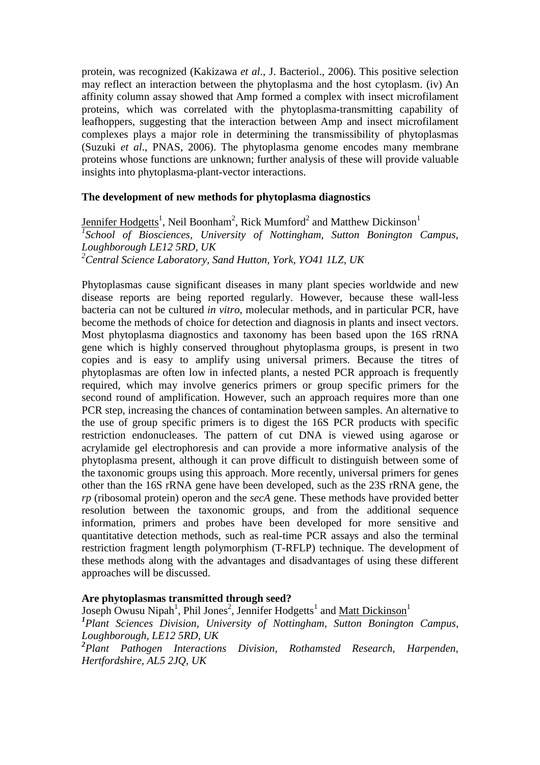protein, was recognized (Kakizawa *et al*., J. Bacteriol., 2006). This positive selection may reflect an interaction between the phytoplasma and the host cytoplasm. (iv) An affinity column assay showed that Amp formed a complex with insect microfilament proteins, which was correlated with the phytoplasma-transmitting capability of leafhoppers, suggesting that the interaction between Amp and insect microfilament complexes plays a major role in determining the transmissibility of phytoplasmas (Suzuki *et al*., PNAS, 2006). The phytoplasma genome encodes many membrane proteins whose functions are unknown; further analysis of these will provide valuable insights into phytoplasma-plant-vector interactions.

## **The development of new methods for phytoplasma diagnostics**

Jennifer Hodgetts<sup>1</sup>, Neil Boonham<sup>2</sup>, Rick Mumford<sup>2</sup> and Matthew Dickinson<sup>1</sup> <sup>1</sup> School of Biosciences, University of Nottingham, Sutton Bonington Campus, *Loughborough LE12 5RD, UK <sup>2</sup>Central Science Laboratory, Sand Hutton, York, YO41 1LZ, UK* 

Phytoplasmas cause significant diseases in many plant species worldwide and new disease reports are being reported regularly. However, because these wall-less bacteria can not be cultured *in vitro*, molecular methods, and in particular PCR, have become the methods of choice for detection and diagnosis in plants and insect vectors. Most phytoplasma diagnostics and taxonomy has been based upon the 16S rRNA gene which is highly conserved throughout phytoplasma groups, is present in two copies and is easy to amplify using universal primers. Because the titres of phytoplasmas are often low in infected plants, a nested PCR approach is frequently required, which may involve generics primers or group specific primers for the second round of amplification. However, such an approach requires more than one PCR step, increasing the chances of contamination between samples. An alternative to the use of group specific primers is to digest the 16S PCR products with specific restriction endonucleases. The pattern of cut DNA is viewed using agarose or acrylamide gel electrophoresis and can provide a more informative analysis of the phytoplasma present, although it can prove difficult to distinguish between some of the taxonomic groups using this approach. More recently, universal primers for genes other than the 16S rRNA gene have been developed, such as the 23S rRNA gene, the *rp* (ribosomal protein) operon and the *secA* gene. These methods have provided better resolution between the taxonomic groups, and from the additional sequence information, primers and probes have been developed for more sensitive and quantitative detection methods, such as real-time PCR assays and also the terminal restriction fragment length polymorphism (T-RFLP) technique. The development of these methods along with the advantages and disadvantages of using these different approaches will be discussed.

## **Are phytoplasmas transmitted through seed?**

Joseph Owusu Nipah<sup>1</sup>, Phil Jones<sup>2</sup>, Jennifer Hodgetts<sup>1</sup> and Matt Dickinson<sup>1</sup> *1 Plant Sciences Division, University of Nottingham, Sutton Bonington Campus, Loughborough, LE12 5RD, UK 2 Plant Pathogen Interactions Division, Rothamsted Research, Harpenden, Hertfordshire, AL5 2JQ, UK*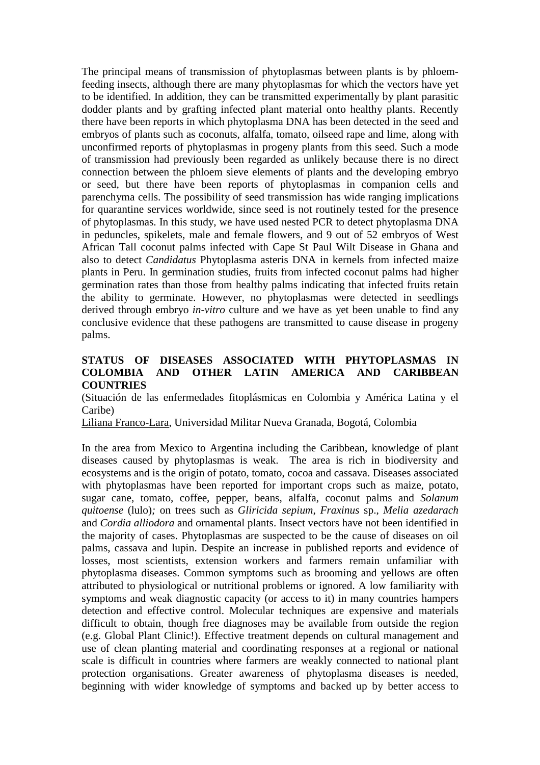The principal means of transmission of phytoplasmas between plants is by phloemfeeding insects, although there are many phytoplasmas for which the vectors have yet to be identified. In addition, they can be transmitted experimentally by plant parasitic dodder plants and by grafting infected plant material onto healthy plants. Recently there have been reports in which phytoplasma DNA has been detected in the seed and embryos of plants such as coconuts, alfalfa, tomato, oilseed rape and lime, along with unconfirmed reports of phytoplasmas in progeny plants from this seed. Such a mode of transmission had previously been regarded as unlikely because there is no direct connection between the phloem sieve elements of plants and the developing embryo or seed, but there have been reports of phytoplasmas in companion cells and parenchyma cells. The possibility of seed transmission has wide ranging implications for quarantine services worldwide, since seed is not routinely tested for the presence of phytoplasmas. In this study, we have used nested PCR to detect phytoplasma DNA in peduncles, spikelets, male and female flowers, and 9 out of 52 embryos of West African Tall coconut palms infected with Cape St Paul Wilt Disease in Ghana and also to detect *Candidatus* Phytoplasma asteris DNA in kernels from infected maize plants in Peru. In germination studies, fruits from infected coconut palms had higher germination rates than those from healthy palms indicating that infected fruits retain the ability to germinate. However, no phytoplasmas were detected in seedlings derived through embryo *in-vitro* culture and we have as yet been unable to find any conclusive evidence that these pathogens are transmitted to cause disease in progeny palms.

## **STATUS OF DISEASES ASSOCIATED WITH PHYTOPLASMAS IN COLOMBIA AND OTHER LATIN AMERICA AND CARIBBEAN COUNTRIES**

(Situación de las enfermedades fitoplásmicas en Colombia y América Latina y el Caribe)

Liliana Franco-Lara, Universidad Militar Nueva Granada, Bogotá, Colombia

In the area from Mexico to Argentina including the Caribbean, knowledge of plant diseases caused by phytoplasmas is weak. The area is rich in biodiversity and ecosystems and is the origin of potato, tomato, cocoa and cassava. Diseases associated with phytoplasmas have been reported for important crops such as maize, potato, sugar cane, tomato, coffee, pepper, beans, alfalfa, coconut palms and *Solanum quitoense* (lulo)*;* on trees such as *Gliricida sepium*, *Fraxinus* sp., *Melia azedarach*  and *Cordia alliodora* and ornamental plants. Insect vectors have not been identified in the majority of cases. Phytoplasmas are suspected to be the cause of diseases on oil palms, cassava and lupin. Despite an increase in published reports and evidence of losses, most scientists, extension workers and farmers remain unfamiliar with phytoplasma diseases. Common symptoms such as brooming and yellows are often attributed to physiological or nutritional problems or ignored. A low familiarity with symptoms and weak diagnostic capacity (or access to it) in many countries hampers detection and effective control. Molecular techniques are expensive and materials difficult to obtain, though free diagnoses may be available from outside the region (e.g. Global Plant Clinic!). Effective treatment depends on cultural management and use of clean planting material and coordinating responses at a regional or national scale is difficult in countries where farmers are weakly connected to national plant protection organisations. Greater awareness of phytoplasma diseases is needed, beginning with wider knowledge of symptoms and backed up by better access to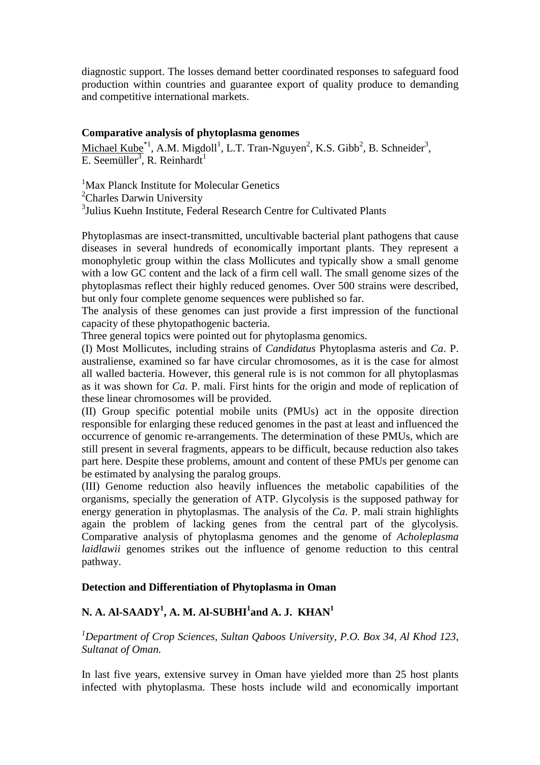diagnostic support. The losses demand better coordinated responses to safeguard food production within countries and guarantee export of quality produce to demanding and competitive international markets.

#### **Comparative analysis of phytoplasma genomes**

Michael Kube<sup>\*1</sup>, A.M. Migdoll<sup>1</sup>, L.T. Tran-Nguyen<sup>2</sup>, K.S. Gibb<sup>2</sup>, B. Schneider<sup>3</sup>, E. Seemüller<sup>3</sup>, R. Reinhardt<sup>1</sup>

<sup>1</sup>Max Planck Institute for Molecular Genetics <sup>2</sup>Charles Darwin University 3 Julius Kuehn Institute, Federal Research Centre for Cultivated Plants

Phytoplasmas are insect-transmitted, uncultivable bacterial plant pathogens that cause diseases in several hundreds of economically important plants. They represent a monophyletic group within the class Mollicutes and typically show a small genome with a low GC content and the lack of a firm cell wall. The small genome sizes of the phytoplasmas reflect their highly reduced genomes. Over 500 strains were described, but only four complete genome sequences were published so far.

The analysis of these genomes can just provide a first impression of the functional capacity of these phytopathogenic bacteria.

Three general topics were pointed out for phytoplasma genomics.

(I) Most Mollicutes, including strains of *Candidatus* Phytoplasma asteris and *Ca*. P. australiense, examined so far have circular chromosomes, as it is the case for almost all walled bacteria. However, this general rule is is not common for all phytoplasmas as it was shown for *Ca*. P. mali. First hints for the origin and mode of replication of these linear chromosomes will be provided.

(II) Group specific potential mobile units (PMUs) act in the opposite direction responsible for enlarging these reduced genomes in the past at least and influenced the occurrence of genomic re-arrangements. The determination of these PMUs, which are still present in several fragments, appears to be difficult, because reduction also takes part here. Despite these problems, amount and content of these PMUs per genome can be estimated by analysing the paralog groups.

(III) Genome reduction also heavily influences the metabolic capabilities of the organisms, specially the generation of ATP. Glycolysis is the supposed pathway for energy generation in phytoplasmas. The analysis of the *Ca*. P. mali strain highlights again the problem of lacking genes from the central part of the glycolysis. Comparative analysis of phytoplasma genomes and the genome of *Acholeplasma laidlawii* genomes strikes out the influence of genome reduction to this central pathway.

### **Detection and Differentiation of Phytoplasma in Oman**

# **N. A. Al-SAADY<sup>1</sup> , A. M. Al-SUBHI<sup>1</sup> and A. J. KHAN<sup>1</sup>**

*<sup>1</sup>Department of Crop Sciences, Sultan Qaboos University, P.O. Box 34, Al Khod 123, Sultanat of Oman.* 

In last five years, extensive survey in Oman have yielded more than 25 host plants infected with phytoplasma. These hosts include wild and economically important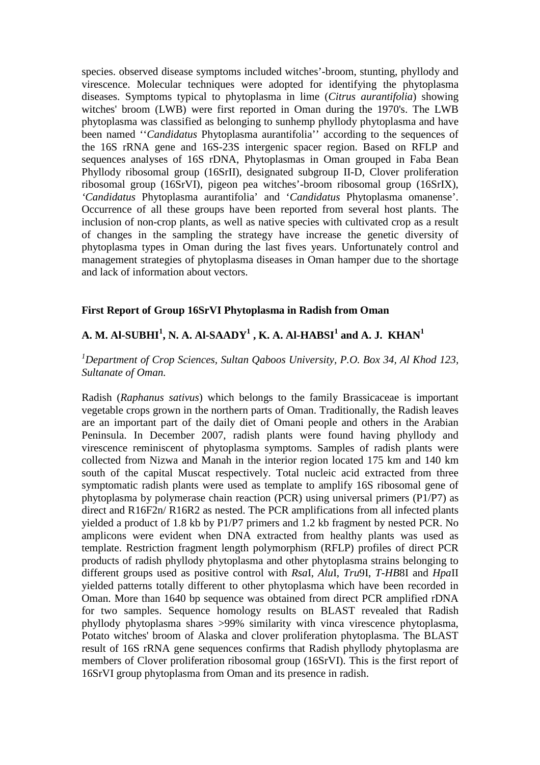species. observed disease symptoms included witches'-broom, stunting, phyllody and virescence. Molecular techniques were adopted for identifying the phytoplasma diseases. Symptoms typical to phytoplasma in lime (*Citrus aurantifolia*) showing witches' broom (LWB) were first reported in Oman during the 1970's. The LWB phytoplasma was classified as belonging to sunhemp phyllody phytoplasma and have been named ''*Candidatus* Phytoplasma aurantifolia'' according to the sequences of the 16S rRNA gene and 16S-23S intergenic spacer region. Based on RFLP and sequences analyses of 16S rDNA, Phytoplasmas in Oman grouped in Faba Bean Phyllody ribosomal group (16SrII), designated subgroup II-D, Clover proliferation ribosomal group (16SrVI), pigeon pea witches'-broom ribosomal group (16SrIX), *'Candidatus* Phytoplasma aurantifolia' and '*Candidatus* Phytoplasma omanense'. Occurrence of all these groups have been reported from several host plants. The inclusion of non-crop plants, as well as native species with cultivated crop as a result of changes in the sampling the strategy have increase the genetic diversity of phytoplasma types in Oman during the last fives years. Unfortunately control and management strategies of phytoplasma diseases in Oman hamper due to the shortage and lack of information about vectors.

### **First Report of Group 16SrVI Phytoplasma in Radish from Oman**

# $\mathbf{A}. \, \mathbf{M}. \, \mathbf{Al}\text{-}\mathbf{SUBHI}^1, \mathbf{N}. \, \mathbf{A}. \, \mathbf{Al}\text{-}\mathbf{SAADY}^1, \mathbf{K}. \, \mathbf{A}. \, \mathbf{Al}\text{-}\mathbf{HABSI}^1 \, \text{and} \, \mathbf{A}. \, \mathbf{J}. \, \, \mathbf{KHAN}^1$

### *<sup>1</sup>Department of Crop Sciences, Sultan Qaboos University, P.O. Box 34, Al Khod 123, Sultanate of Oman.*

Radish (*Raphanus sativus*) which belongs to the family Brassicaceae is important vegetable crops grown in the northern parts of Oman. Traditionally, the Radish leaves are an important part of the daily diet of Omani people and others in the Arabian Peninsula. In December 2007, radish plants were found having phyllody and virescence reminiscent of phytoplasma symptoms. Samples of radish plants were collected from Nizwa and Manah in the interior region located 175 km and 140 km south of the capital Muscat respectively. Total nucleic acid extracted from three symptomatic radish plants were used as template to amplify 16S ribosomal gene of phytoplasma by polymerase chain reaction (PCR) using universal primers (P1/P7) as direct and R16F2n/ R16R2 as nested. The PCR amplifications from all infected plants yielded a product of 1.8 kb by P1/P7 primers and 1.2 kb fragment by nested PCR. No amplicons were evident when DNA extracted from healthy plants was used as template. Restriction fragment length polymorphism (RFLP) profiles of direct PCR products of radish phyllody phytoplasma and other phytoplasma strains belonging to different groups used as positive control with *Rsa*I, *Alu*I, *Tru*9I, *T-HB*8I and *Hpa*II yielded patterns totally different to other phytoplasma which have been recorded in Oman. More than 1640 bp sequence was obtained from direct PCR amplified rDNA for two samples. Sequence homology results on BLAST revealed that Radish phyllody phytoplasma shares >99% similarity with vinca virescence phytoplasma, Potato witches' broom of Alaska and clover proliferation phytoplasma. The BLAST result of 16S rRNA gene sequences confirms that Radish phyllody phytoplasma are members of Clover proliferation ribosomal group (16SrVI). This is the first report of 16SrVI group phytoplasma from Oman and its presence in radish.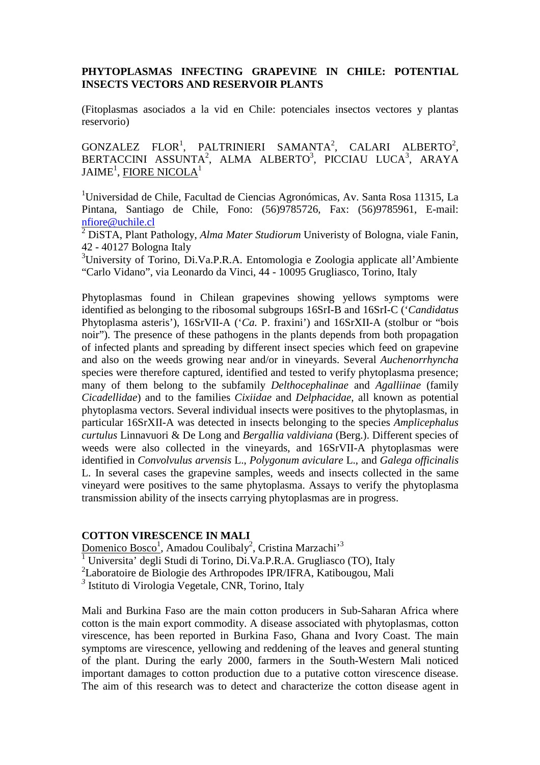## **PHYTOPLASMAS INFECTING GRAPEVINE IN CHILE: POTENTIAL INSECTS VECTORS AND RESERVOIR PLANTS**

(Fitoplasmas asociados a la vid en Chile: potenciales insectos vectores y plantas reservorio)

 $GONZALEZ$   $FLOR<sup>1</sup>$ ,  $PALTRINIERI$   $SAMANTA<sup>2</sup>$ ,  $CALARI$   $ALEERTO<sup>2</sup>$ ,  $BERTACCINI$   $ASSUNTA^2$ , ALMA  $ALBERTO^3$ , PICCIAU LUCA $^3$ , ARAYA JAIME $^1$ , <u>FIORE NICOLA</u> $^1$ 

<sup>1</sup>Universidad de Chile, Facultad de Ciencias Agronómicas, Av. Santa Rosa 11315, La Pintana, Santiago de Chile, Fono: (56)9785726, Fax: (56)9785961, E-mail: nfiore@uchile.cl

2 DiSTA, Plant Pathology, *Alma Mater Studiorum* Univeristy of Bologna, viale Fanin, 42 - 40127 Bologna Italy

 $3$ University of Torino, Di.Va.P.R.A. Entomologia e Zoologia applicate all'Ambiente "Carlo Vidano", via Leonardo da Vinci, 44 - 10095 Grugliasco, Torino, Italy

Phytoplasmas found in Chilean grapevines showing yellows symptoms were identified as belonging to the ribosomal subgroups 16SrI-B and 16SrI-C ('*Candidatus* Phytoplasma asteris'), 16SrVII-A ('*Ca.* P. fraxini') and 16SrXII-A (stolbur or "bois noir"). The presence of these pathogens in the plants depends from both propagation of infected plants and spreading by different insect species which feed on grapevine and also on the weeds growing near and/or in vineyards. Several *Auchenorrhyncha* species were therefore captured, identified and tested to verify phytoplasma presence; many of them belong to the subfamily *Delthocephalinae* and *Agalliinae* (family *Cicadellidae*) and to the families *Cixiidae* and *Delphacidae*, all known as potential phytoplasma vectors. Several individual insects were positives to the phytoplasmas, in particular 16SrXII-A was detected in insects belonging to the species *Amplicephalus curtulus* Linnavuori & De Long and *Bergallia valdiviana* (Berg.). Different species of weeds were also collected in the vineyards, and 16SrVII-A phytoplasmas were identified in *Convolvulus arvensis* L., *Polygonum aviculare* L., and *Galega officinalis* L. In several cases the grapevine samples, weeds and insects collected in the same vineyard were positives to the same phytoplasma. Assays to verify the phytoplasma transmission ability of the insects carrying phytoplasmas are in progress.

### **COTTON VIRESCENCE IN MALI**

<u>Domenico Bosco<sup>1</sup>,</u> Amadou Coulibaly<sup>2</sup>, Cristina Marzachi'<sup>3</sup>

<sup>1</sup> Universita' degli Studi di Torino, Di.Va.P.R.A. Grugliasco (TO), Italy

2 Laboratoire de Biologie des Arthropodes IPR/IFRA, Katibougou, Mali

*3* Istituto di Virologia Vegetale, CNR, Torino, Italy

Mali and Burkina Faso are the main cotton producers in Sub-Saharan Africa where cotton is the main export commodity. A disease associated with phytoplasmas, cotton virescence, has been reported in Burkina Faso, Ghana and Ivory Coast. The main symptoms are virescence, yellowing and reddening of the leaves and general stunting of the plant. During the early 2000, farmers in the South-Western Mali noticed important damages to cotton production due to a putative cotton virescence disease. The aim of this research was to detect and characterize the cotton disease agent in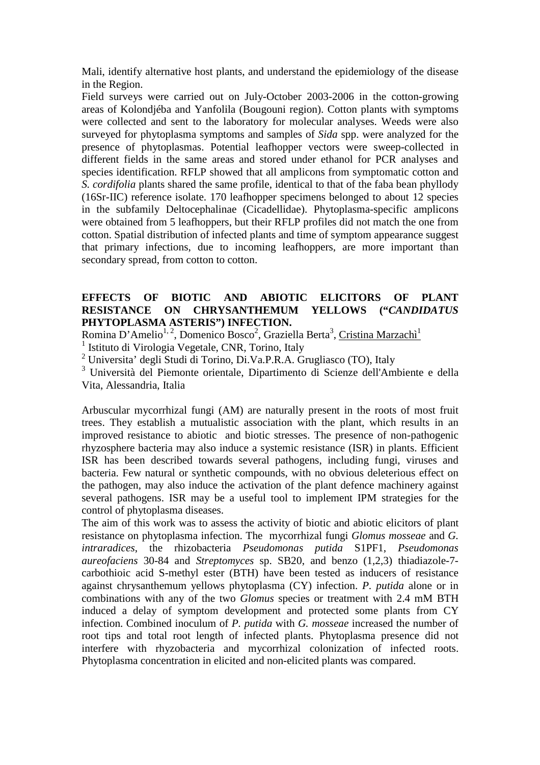Mali, identify alternative host plants, and understand the epidemiology of the disease in the Region.

Field surveys were carried out on July-October 2003-2006 in the cotton-growing areas of Kolondjéba and Yanfolila (Bougouni region). Cotton plants with symptoms were collected and sent to the laboratory for molecular analyses. Weeds were also surveyed for phytoplasma symptoms and samples of *Sida* spp. were analyzed for the presence of phytoplasmas. Potential leafhopper vectors were sweep-collected in different fields in the same areas and stored under ethanol for PCR analyses and species identification. RFLP showed that all amplicons from symptomatic cotton and *S. cordifolia* plants shared the same profile, identical to that of the faba bean phyllody (16Sr-IIC) reference isolate. 170 leafhopper specimens belonged to about 12 species in the subfamily Deltocephalinae (Cicadellidae). Phytoplasma-specific amplicons were obtained from 5 leafhoppers, but their RFLP profiles did not match the one from cotton. Spatial distribution of infected plants and time of symptom appearance suggest that primary infections, due to incoming leafhoppers, are more important than secondary spread, from cotton to cotton.

## **EFFECTS OF BIOTIC AND ABIOTIC ELICITORS OF PLANT RESISTANCE ON CHRYSANTHEMUM YELLOWS ("***CANDIDATUS* **PHYTOPLASMA ASTERIS") INFECTION.**

Romina D'Amelio<sup>1, 2</sup>, Domenico Bosco<sup>2</sup>, Graziella Berta<sup>3</sup>, <u>Cristina Marzachì<sup>1</sup></u>

<sup>1</sup> Istituto di Virologia Vegetale, CNR, Torino, Italy

2 Universita' degli Studi di Torino, Di.Va.P.R.A. Grugliasco (TO), Italy

3 Università del Piemonte orientale, Dipartimento di Scienze dell'Ambiente e della Vita, Alessandria, Italia

Arbuscular mycorrhizal fungi (AM) are naturally present in the roots of most fruit trees. They establish a mutualistic association with the plant, which results in an improved resistance to abiotic and biotic stresses. The presence of non-pathogenic rhyzosphere bacteria may also induce a systemic resistance (ISR) in plants. Efficient ISR has been described towards several pathogens, including fungi, viruses and bacteria. Few natural or synthetic compounds, with no obvious deleterious effect on the pathogen, may also induce the activation of the plant defence machinery against several pathogens. ISR may be a useful tool to implement IPM strategies for the control of phytoplasma diseases.

The aim of this work was to assess the activity of biotic and abiotic elicitors of plant resistance on phytoplasma infection. The mycorrhizal fungi *Glomus mosseae* and *G. intraradices*, the rhizobacteria *Pseudomonas putida* S1PF1, *Pseudomonas aureofaciens* 30-84 and *Streptomyces* sp. SB20, and benzo (1,2,3) thiadiazole-7 carbothioic acid S-methyl ester (BTH) have been tested as inducers of resistance against chrysanthemum yellows phytoplasma (CY) infection. *P. putida* alone or in combinations with any of the two *Glomus* species or treatment with 2.4 mM BTH induced a delay of symptom development and protected some plants from CY infection. Combined inoculum of *P. putida* with *G. mosseae* increased the number of root tips and total root length of infected plants. Phytoplasma presence did not interfere with rhyzobacteria and mycorrhizal colonization of infected roots. Phytoplasma concentration in elicited and non-elicited plants was compared.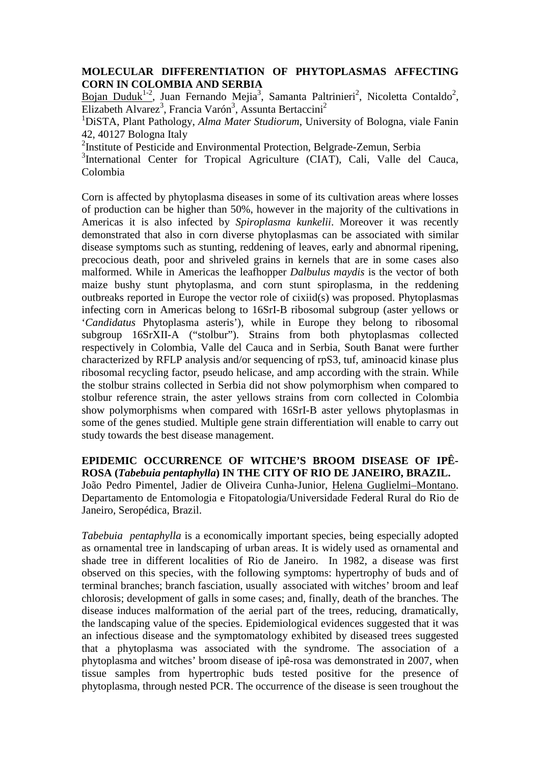### **MOLECULAR DIFFERENTIATION OF PHYTOPLASMAS AFFECTING CORN IN COLOMBIA AND SERBIA**

Bojan Duduk<sup>1-2</sup>, Juan Fernando Mejia<sup>3</sup>, Samanta Paltrinieri<sup>2</sup>, Nicoletta Contaldo<sup>2</sup>, Elizabeth Alvarez<sup>3</sup>, Francia Varón<sup>3</sup>, Assunta Bertaccini<sup>2</sup>

<sup>1</sup>DiSTA, Plant Pathology, *Alma Mater Studiorum*, University of Bologna, viale Fanin 42, 40127 Bologna Italy

<sup>2</sup>Institute of Pesticide and Environmental Protection, Belgrade-Zemun, Serbia

<sup>3</sup>International Center for Tropical Agriculture (CIAT), Cali, Valle del Cauca, Colombia

Corn is affected by phytoplasma diseases in some of its cultivation areas where losses of production can be higher than 50%, however in the majority of the cultivations in Americas it is also infected by *Spiroplasma kunkelii*. Moreover it was recently demonstrated that also in corn diverse phytoplasmas can be associated with similar disease symptoms such as stunting, reddening of leaves, early and abnormal ripening, precocious death, poor and shriveled grains in kernels that are in some cases also malformed. While in Americas the leafhopper *Dalbulus maydis* is the vector of both maize bushy stunt phytoplasma, and corn stunt spiroplasma, in the reddening outbreaks reported in Europe the vector role of cixiid(s) was proposed. Phytoplasmas infecting corn in Americas belong to 16SrI-B ribosomal subgroup (aster yellows or '*Candidatus* Phytoplasma asteris'), while in Europe they belong to ribosomal subgroup 16SrXII-A ("stolbur"). Strains from both phytoplasmas collected respectively in Colombia, Valle del Cauca and in Serbia, South Banat were further characterized by RFLP analysis and/or sequencing of rpS3, tuf, aminoacid kinase plus ribosomal recycling factor, pseudo helicase, and amp according with the strain. While the stolbur strains collected in Serbia did not show polymorphism when compared to stolbur reference strain, the aster yellows strains from corn collected in Colombia show polymorphisms when compared with 16SrI-B aster yellows phytoplasmas in some of the genes studied. Multiple gene strain differentiation will enable to carry out study towards the best disease management.

**EPIDEMIC OCCURRENCE OF WITCHE'S BROOM DISEASE OF IPÊ-ROSA (***Tabebuia pentaphylla***) IN THE CITY OF RIO DE JANEIRO, BRAZIL.**  João Pedro Pimentel, Jadier de Oliveira Cunha-Junior, Helena Guglielmi–Montano. Departamento de Entomologia e Fitopatologia/Universidade Federal Rural do Rio de Janeiro, Seropédica, Brazil.

*Tabebuia pentaphylla* is a economically important species, being especially adopted as ornamental tree in landscaping of urban areas. It is widely used as ornamental and shade tree in different localities of Rio de Janeiro. In 1982, a disease was first observed on this species, with the following symptoms: hypertrophy of buds and of terminal branches; branch fasciation, usually associated with witches' broom and leaf chlorosis; development of galls in some cases; and, finally, death of the branches. The disease induces malformation of the aerial part of the trees, reducing, dramatically, the landscaping value of the species. Epidemiological evidences suggested that it was an infectious disease and the symptomatology exhibited by diseased trees suggested that a phytoplasma was associated with the syndrome. The association of a phytoplasma and witches' broom disease of ipê-rosa was demonstrated in 2007, when tissue samples from hypertrophic buds tested positive for the presence of phytoplasma, through nested PCR. The occurrence of the disease is seen troughout the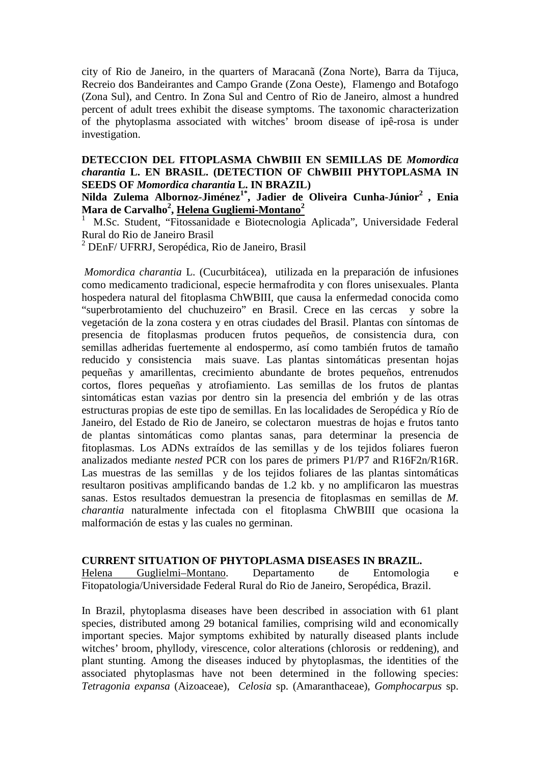city of Rio de Janeiro, in the quarters of Maracanã (Zona Norte), Barra da Tijuca, Recreio dos Bandeirantes and Campo Grande (Zona Oeste), Flamengo and Botafogo (Zona Sul), and Centro. In Zona Sul and Centro of Rio de Janeiro, almost a hundred percent of adult trees exhibit the disease symptoms. The taxonomic characterization of the phytoplasma associated with witches' broom disease of ipê-rosa is under investigation.

### **DETECCION DEL FITOPLASMA ChWBIII EN SEMILLAS DE** *Momordica charantia* **L. EN BRASIL. (DETECTION OF ChWBIII PHYTOPLASMA IN SEEDS OF** *Momordica charantia* **L. IN BRAZIL)**

**Nilda Zulema Albornoz-Jiménez1\*, Jadier de Oliveira Cunha-Júnior<sup>2</sup>, Enia Mara de Carvalho<sup>2</sup> , Helena Gugliemi-Montano<sup>2</sup>**

<sup>1</sup>M.Sc. Student, "Fitossanidade e Biotecnologia Aplicada", Universidade Federal Rural do Rio de Janeiro Brasil

<sup>2</sup> DEnF/ UFRRJ, Seropédica, Rio de Janeiro, Brasil

*Momordica charantia* L. (Cucurbitácea), utilizada en la preparación de infusiones como medicamento tradicional, especie hermafrodita y con flores unisexuales. Planta hospedera natural del fitoplasma ChWBIII, que causa la enfermedad conocida como "superbrotamiento del chuchuzeiro" en Brasil. Crece en las cercas y sobre la vegetación de la zona costera y en otras ciudades del Brasil. Plantas con síntomas de presencia de fitoplasmas producen frutos pequeños, de consistencia dura, con semillas adheridas fuertemente al endospermo, así como también frutos de tamaño reducido y consistencia mais suave. Las plantas sintomáticas presentan hojas pequeñas y amarillentas, crecimiento abundante de brotes pequeños, entrenudos cortos, flores pequeñas y atrofiamiento. Las semillas de los frutos de plantas sintomáticas estan vazias por dentro sin la presencia del embrión y de las otras estructuras propias de este tipo de semillas. En las localidades de Seropédica y Río de Janeiro, del Estado de Rio de Janeiro, se colectaron muestras de hojas e frutos tanto de plantas sintomáticas como plantas sanas, para determinar la presencia de fitoplasmas. Los ADNs extraídos de las semillas y de los tejidos foliares fueron analizados mediante *nested* PCR con los pares de primers P1/P7 and R16F2n/R16R. Las muestras de las semillas y de los tejidos foliares de las plantas sintomáticas resultaron positivas amplificando bandas de 1.2 kb. y no amplificaron las muestras sanas. Estos resultados demuestran la presencia de fitoplasmas en semillas de *M. charantia* naturalmente infectada con el fitoplasma ChWBIII que ocasiona la malformación de estas y las cuales no germinan.

#### **CURRENT SITUATION OF PHYTOPLASMA DISEASES IN BRAZIL.**

Helena Guglielmi–Montano. Departamento de Entomologia e Fitopatologia/Universidade Federal Rural do Rio de Janeiro, Seropédica, Brazil.

In Brazil, phytoplasma diseases have been described in association with 61 plant species, distributed among 29 botanical families, comprising wild and economically important species. Major symptoms exhibited by naturally diseased plants include witches' broom, phyllody, virescence, color alterations (chlorosis or reddening), and plant stunting. Among the diseases induced by phytoplasmas, the identities of the associated phytoplasmas have not been determined in the following species: *Tetragonia expansa* (Aizoaceae), *Celosia* sp. (Amaranthaceae), *Gomphocarpus* sp.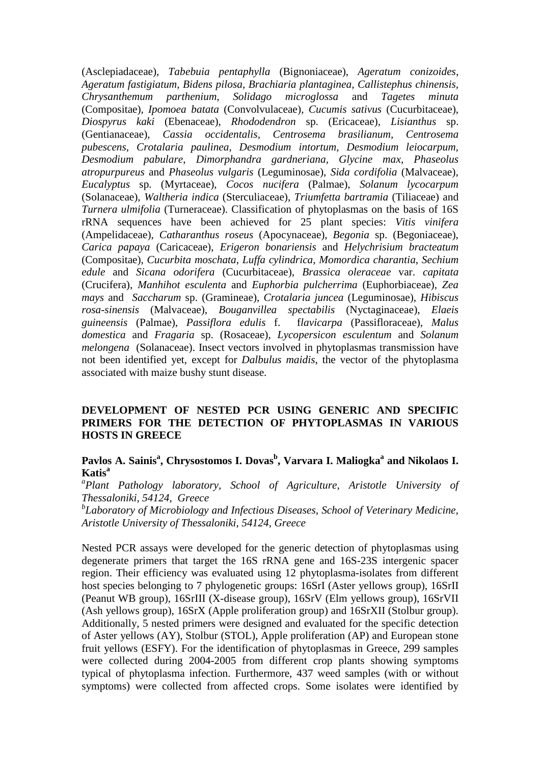(Asclepiadaceae), *Tabebuia pentaphylla* (Bignoniaceae), *Ageratum conizoides, Ageratum fastigiatum, Bidens pilosa, Brachiaria plantaginea, Callistephus chinensis, Chrysanthemum parthenium, Solidago microglossa* and *Tagetes minuta*  (Compositae), *Ipomoea batata* (Convolvulaceae), *Cucumis sativus* (Cucurbitaceae), *Diospyrus kaki* (Ebenaceae), *Rhododendron* sp. (Ericaceae), *Lisianthus* sp. (Gentianaceae), *Cassia occidentalis, Centrosema brasilianum, Centrosema pubescens, Crotalaria paulinea, Desmodium intortum, Desmodium leiocarpum, Desmodium pabulare, Dimorphandra gardneriana, Glycine max, Phaseolus atropurpureus* and *Phaseolus vulgaris* (Leguminosae), *Sida cordifolia* (Malvaceae), *Eucalyptus* sp. (Myrtaceae), *Cocos nucifera* (Palmae), *Solanum lycocarpum* (Solanaceae), *Waltheria indica* (Sterculiaceae), *Triumfetta bartramia* (Tiliaceae) and *Turnera ulmifolia* (Turneraceae). Classification of phytoplasmas on the basis of 16S rRNA sequences have been achieved for 25 plant species: *Vitis vinifera*  (Ampelidaceae), *Catharanthus roseus* (Apocynaceae), *Begonia* sp. (Begoniaceae), *Carica papaya* (Caricaceae), *Erigeron bonariensis* and *Helychrisium bracteatum*  (Compositae), *Cucurbita moschata*, *Luffa cylindrica*, *Momordica charantia*, *Sechium edule* and *Sicana odorifera* (Cucurbitaceae), *Brassica oleraceae* var. *capitata* (Crucifera), *Manhihot esculenta* and *Euphorbia pulcherrima* (Euphorbiaceae), *Zea mays* and *Saccharum* sp. (Gramineae), *Crotalaria juncea* (Leguminosae), *Hibiscus rosa-sinensis* (Malvaceae), *Bouganvillea spectabilis* (Nyctaginaceae), *Elaeis guineensis* (Palmae), *Passiflora edulis* f. f*lavicarpa* (Passifloraceae), *Malus domestica* and *Fragaria* sp. (Rosaceae), *Lycopersicon esculentum* and *Solanum melongena* (Solanaceae). Insect vectors involved in phytoplasmas transmission have not been identified yet, except for *Dalbulus maidis*, the vector of the phytoplasma associated with maize bushy stunt disease.

## **DEVELOPMENT OF NESTED PCR USING GENERIC AND SPECIFIC PRIMERS FOR THE DETECTION OF PHYTOPLASMAS IN VARIOUS HOSTS IN GREECE**

## **Pavlos A. Sainis<sup>a</sup> , Chrysostomos I. Dovas<sup>b</sup> , Varvara I. Maliogka<sup>a</sup> and Nikolaos I. Katis<sup>a</sup>**

*a Plant Pathology laboratory, School of Agriculture, Aristotle University of Thessaloniki, 54124, Greece* 

*b Laboratory of Microbiology and Infectious Diseases, School of Veterinary Medicine, Aristotle University of Thessaloniki, 54124, Greece*

Nested PCR assays were developed for the generic detection of phytoplasmas using degenerate primers that target the 16S rRNA gene and 16S-23S intergenic spacer region. Their efficiency was evaluated using 12 phytoplasma-isolates from different host species belonging to 7 phylogenetic groups: 16SrI (Aster yellows group), 16SrII (Peanut WB group), 16SrIII (X-disease group), 16SrV (Elm yellows group), 16SrVII (Ash yellows group), 16SrX (Apple proliferation group) and 16SrXII (Stolbur group). Additionally, 5 nested primers were designed and evaluated for the specific detection of Aster yellows (AY), Stolbur (STOL), Apple proliferation (AP) and European stone fruit yellows (ESFY). For the identification of phytoplasmas in Greece, 299 samples were collected during 2004-2005 from different crop plants showing symptoms typical of phytoplasma infection. Furthermore, 437 weed samples (with or without symptoms) were collected from affected crops. Some isolates were identified by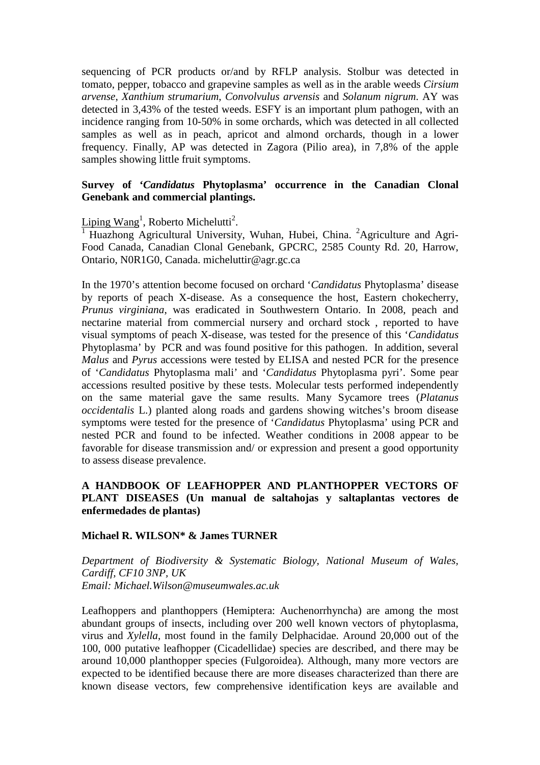sequencing of PCR products or/and by RFLP analysis. Stolbur was detected in tomato, pepper, tobacco and grapevine samples as well as in the arable weeds *Cirsium arvense*, *Xanthium strumarium*, *Convolvulus arvensis* and *Solanum nigrum*. AY was detected in 3,43% of the tested weeds. ESFY is an important plum pathogen, with an incidence ranging from 10-50% in some orchards, which was detected in all collected samples as well as in peach, apricot and almond orchards, though in a lower frequency. Finally, AP was detected in Zagora (Pilio area), in 7,8% of the apple samples showing little fruit symptoms.

## **Survey of '***Candidatus* **Phytoplasma' occurrence in the Canadian Clonal Genebank and commercial plantings.**

Liping  $Wang<sup>1</sup>$ , Roberto Michelutti<sup>2</sup>.

<sup>1</sup> Huazhong Agricultural University, Wuhan, Hubei, China. <sup>2</sup>Agriculture and Agri-Food Canada, Canadian Clonal Genebank, GPCRC, 2585 County Rd. 20, Harrow, Ontario, N0R1G0, Canada. micheluttir@agr.gc.ca

In the 1970's attention become focused on orchard '*Candidatus* Phytoplasma' disease by reports of peach X-disease. As a consequence the host, Eastern chokecherry, *Prunus virginiana*, was eradicated in Southwestern Ontario. In 2008, peach and nectarine material from commercial nursery and orchard stock , reported to have visual symptoms of peach X-disease, was tested for the presence of this '*Candidatus* Phytoplasma' by PCR and was found positive for this pathogen. In addition, several *Malus* and *Pyrus* accessions were tested by ELISA and nested PCR for the presence of '*Candidatus* Phytoplasma mali' and '*Candidatus* Phytoplasma pyri'. Some pear accessions resulted positive by these tests. Molecular tests performed independently on the same material gave the same results. Many Sycamore trees (*Platanus occidentalis* L.) planted along roads and gardens showing witches's broom disease symptoms were tested for the presence of '*Candidatus* Phytoplasma' using PCR and nested PCR and found to be infected. Weather conditions in 2008 appear to be favorable for disease transmission and/ or expression and present a good opportunity to assess disease prevalence.

## **A HANDBOOK OF LEAFHOPPER AND PLANTHOPPER VECTORS OF PLANT DISEASES (Un manual de saltahojas y saltaplantas vectores de enfermedades de plantas)**

### **Michael R. WILSON\* & James TURNER**

*Department of Biodiversity & Systematic Biology, National Museum of Wales, Cardiff, CF10 3NP, UK Email: Michael.Wilson@museumwales.ac.uk* 

Leafhoppers and planthoppers (Hemiptera: Auchenorrhyncha) are among the most abundant groups of insects, including over 200 well known vectors of phytoplasma, virus and *Xylella*, most found in the family Delphacidae. Around 20,000 out of the 100, 000 putative leafhopper (Cicadellidae) species are described, and there may be around 10,000 planthopper species (Fulgoroidea). Although, many more vectors are expected to be identified because there are more diseases characterized than there are known disease vectors, few comprehensive identification keys are available and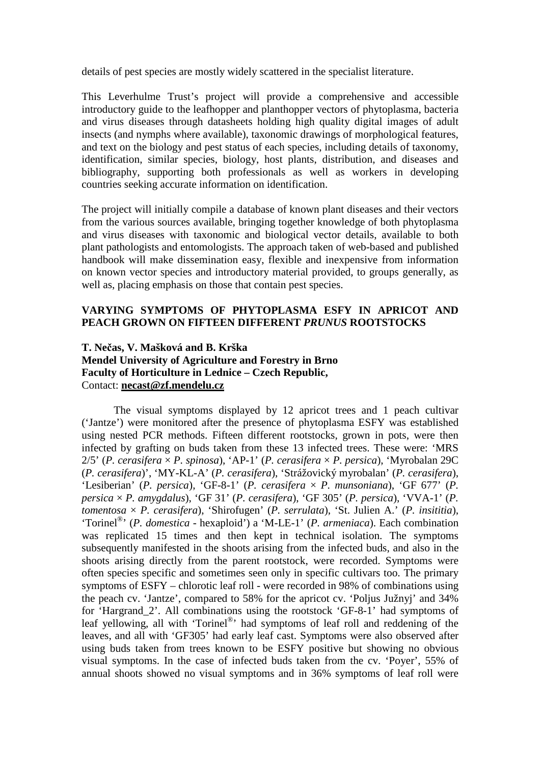details of pest species are mostly widely scattered in the specialist literature.

This Leverhulme Trust's project will provide a comprehensive and accessible introductory guide to the leafhopper and planthopper vectors of phytoplasma, bacteria and virus diseases through datasheets holding high quality digital images of adult insects (and nymphs where available), taxonomic drawings of morphological features, and text on the biology and pest status of each species, including details of taxonomy, identification, similar species, biology, host plants, distribution, and diseases and bibliography, supporting both professionals as well as workers in developing countries seeking accurate information on identification.

The project will initially compile a database of known plant diseases and their vectors from the various sources available, bringing together knowledge of both phytoplasma and virus diseases with taxonomic and biological vector details, available to both plant pathologists and entomologists. The approach taken of web-based and published handbook will make dissemination easy, flexible and inexpensive from information on known vector species and introductory material provided, to groups generally, as well as, placing emphasis on those that contain pest species.

## **VARYING SYMPTOMS OF PHYTOPLASMA ESFY IN APRICOT AND PEACH GROWN ON FIFTEEN DIFFERENT** *PRUNUS* **ROOTSTOCKS**

## **T. Ne**č**as, V. Mašková and B. Krška Mendel University of Agriculture and Forestry in Brno Faculty of Horticulture in Lednice – Czech Republic,**  Contact: **necast@zf.mendelu.cz**

The visual symptoms displayed by 12 apricot trees and 1 peach cultivar ('Jantze') were monitored after the presence of phytoplasma ESFY was established using nested PCR methods. Fifteen different rootstocks, grown in pots, were then infected by grafting on buds taken from these 13 infected trees. These were: 'MRS 2/5' (*P. cerasifera* × *P. spinosa*), 'AP-1' (*P. cerasifera* × *P. persica*), 'Myrobalan 29C (*P. cerasifera*)', 'MY-KL-A' (*P. cerasifera*), 'Strážovický myrobalan' (*P. cerasifera*), 'Lesiberian' (*P. persica*), 'GF-8-1' (*P. cerasifera* × *P. munsoniana*), 'GF 677' (*P. persica* × *P. amygdalus*), 'GF 31' (*P. cerasifera*), 'GF 305' (*P. persica*), 'VVA-1' (*P. tomentosa* × *P. cerasifera*), 'Shirofugen' (*P. serrulata*), 'St. Julien A.' (*P. insititia*), 'Torinel® ' (*P. domestica* - hexaploid') a 'M-LE-1' (*P. armeniaca*). Each combination was replicated 15 times and then kept in technical isolation. The symptoms subsequently manifested in the shoots arising from the infected buds, and also in the shoots arising directly from the parent rootstock, were recorded. Symptoms were often species specific and sometimes seen only in specific cultivars too. The primary symptoms of ESFY – chlorotic leaf roll - were recorded in 98% of combinations using the peach cv. 'Jantze', compared to 58% for the apricot cv. 'Poljus Južnyj' and 34% for 'Hargrand\_2'. All combinations using the rootstock 'GF-8-1' had symptoms of leaf yellowing, all with 'Torinel®' had symptoms of leaf roll and reddening of the leaves, and all with 'GF305' had early leaf cast. Symptoms were also observed after using buds taken from trees known to be ESFY positive but showing no obvious visual symptoms. In the case of infected buds taken from the cv. 'Poyer', 55% of annual shoots showed no visual symptoms and in 36% symptoms of leaf roll were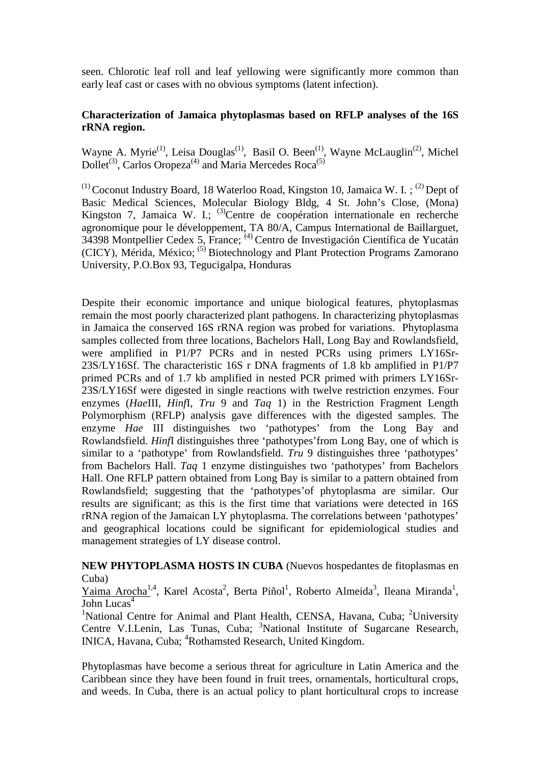seen. Chlorotic leaf roll and leaf yellowing were significantly more common than early leaf cast or cases with no obvious symptoms (latent infection).

## **Characterization of Jamaica phytoplasmas based on RFLP analyses of the 16S rRNA region.**

Wayne A. Myrie<sup>(1)</sup>, Leisa Douglas<sup>(1)</sup>, Basil O. Been<sup>(1)</sup>, Wayne McLauglin<sup>(2)</sup>, Michel  $Dollet^{(3)}$ , Carlos Oropeza<sup>(4)</sup> and Maria Mercedes Roca<sup>(5)</sup>

<sup>(1)</sup> Coconut Industry Board, 18 Waterloo Road, Kingston 10, Jamaica W. I.; <sup>(2)</sup> Dept of Basic Medical Sciences, Molecular Biology Bldg, 4 St. John's Close, (Mona) Kingston 7, Jamaica W. I.; <sup>(3)</sup>Centre de coopération internationale en recherche agronomique pour le développement, TA 80/A, Campus International de Baillarguet, 34398 Montpellier Cedex 5, France; (4) Centro de Investigación Científica de Yucatán (CICY), Mérida, México; <sup>(5)</sup> Biotechnology and Plant Protection Programs Zamorano University, P.O.Box 93, Tegucigalpa, Honduras

Despite their economic importance and unique biological features, phytoplasmas remain the most poorly characterized plant pathogens. In characterizing phytoplasmas in Jamaica the conserved 16S rRNA region was probed for variations. Phytoplasma samples collected from three locations, Bachelors Hall, Long Bay and Rowlandsfield, were amplified in P1/P7 PCRs and in nested PCRs using primers LY16Sr-23S/LY16Sf. The characteristic 16S r DNA fragments of 1.8 kb amplified in P1/P7 primed PCRs and of 1.7 kb amplified in nested PCR primed with primers LY16Sr-23S/LY16Sf were digested in single reactions with twelve restriction enzymes. Four enzymes (*Hae*III, *Hinf*I, *Tru* 9 and *Taq* 1) in the Restriction Fragment Length Polymorphism (RFLP) analysis gave differences with the digested samples. The enzyme *Hae* III distinguishes two 'pathotypes' from the Long Bay and Rowlandsfield. *Hinf*I distinguishes three 'pathotypes'from Long Bay, one of which is similar to a 'pathotype' from Rowlandsfield. *Tru* 9 distinguishes three 'pathotypes' from Bachelors Hall. *Taq* 1 enzyme distinguishes two 'pathotypes' from Bachelors Hall. One RFLP pattern obtained from Long Bay is similar to a pattern obtained from Rowlandsfield; suggesting that the 'pathotypes'of phytoplasma are similar. Our results are significant; as this is the first time that variations were detected in 16S rRNA region of the Jamaican LY phytoplasma. The correlations between 'pathotypes' and geographical locations could be significant for epidemiological studies and management strategies of LY disease control.

**NEW PHYTOPLASMA HOSTS IN CUBA** (Nuevos hospedantes de fitoplasmas en Cuba)

Yaima Arocha<sup>1,4</sup>, Karel Acosta<sup>2</sup>, Berta Piñol<sup>1</sup>, Roberto Almeida<sup>3</sup>, Ileana Miranda<sup>1</sup>, John Lucas $4$ 

<sup>1</sup>National Centre for Animal and Plant Health, CENSA, Havana, Cuba; <sup>2</sup>University Centre V.I.Lenin, Las Tunas, Cuba; <sup>3</sup>National Institute of Sugarcane Research, INICA, Havana, Cuba; <sup>4</sup>Rothamsted Research, United Kingdom.

Phytoplasmas have become a serious threat for agriculture in Latin America and the Caribbean since they have been found in fruit trees, ornamentals, horticultural crops, and weeds. In Cuba, there is an actual policy to plant horticultural crops to increase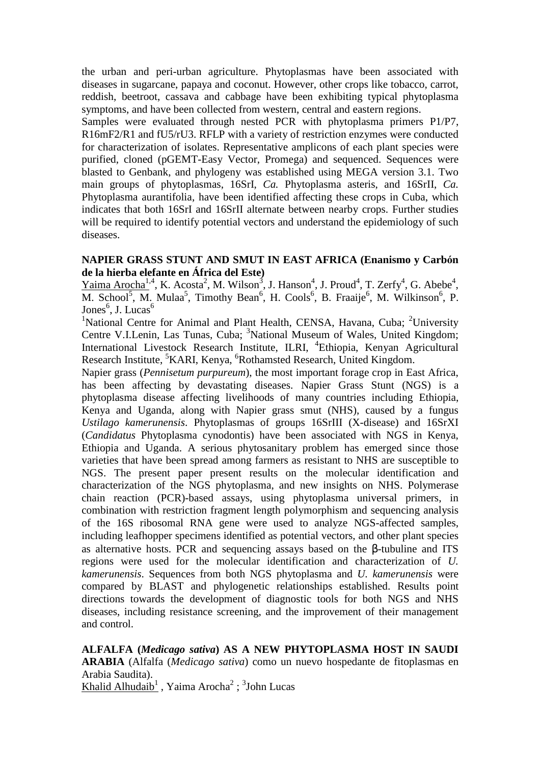the urban and peri-urban agriculture. Phytoplasmas have been associated with diseases in sugarcane, papaya and coconut. However, other crops like tobacco, carrot, reddish, beetroot, cassava and cabbage have been exhibiting typical phytoplasma symptoms, and have been collected from western, central and eastern regions.

Samples were evaluated through nested PCR with phytoplasma primers P1/P7, R16mF2/R1 and fU5/rU3. RFLP with a variety of restriction enzymes were conducted for characterization of isolates. Representative amplicons of each plant species were purified, cloned (pGEMT-Easy Vector, Promega) and sequenced. Sequences were blasted to Genbank, and phylogeny was established using MEGA version 3.1. Two main groups of phytoplasmas, 16SrI, *Ca.* Phytoplasma asteris, and 16SrII, *Ca.* Phytoplasma aurantifolia, have been identified affecting these crops in Cuba, which indicates that both 16SrI and 16SrII alternate between nearby crops. Further studies will be required to identify potential vectors and understand the epidemiology of such diseases.

### **NAPIER GRASS STUNT AND SMUT IN EAST AFRICA (Enanismo y Carb**ό**n de la hierba elefante en África del Este)**

 $Yaima Arocha<sup>1,4</sup>$ , K. Acosta<sup>2</sup>, M. Wilson<sup>3</sup>, J. Hanson<sup>4</sup>, J. Proud<sup>4</sup>, T. Zerfy<sup>4</sup>, G. Abebe<sup>4</sup>, M. School<sup>5</sup>, M. Mulaa<sup>5</sup>, Timothy Bean<sup>6</sup>, H. Cools<sup>6</sup>, B. Fraaije<sup>6</sup>, M. Wilkinson<sup>6</sup>, P. Jones<sup>6</sup>, J. Lucas<sup>6</sup>

<sup>1</sup>National Centre for Animal and Plant Health, CENSA, Havana, Cuba; <sup>2</sup>University Centre V.I.Lenin, Las Tunas, Cuba; <sup>3</sup>National Museum of Wales, United Kingdom; International Livestock Research Institute, ILRI, <sup>4</sup>Ethiopia, Kenyan Agricultural Research Institute, <sup>5</sup>KARI, Kenya, <sup>6</sup>Rothamsted Research, United Kingdom.

Napier grass (*Pennisetum purpureum*), the most important forage crop in East Africa, has been affecting by devastating diseases. Napier Grass Stunt (NGS) is a phytoplasma disease affecting livelihoods of many countries including Ethiopia, Kenya and Uganda, along with Napier grass smut (NHS), caused by a fungus *Ustilago kamerunensis*. Phytoplasmas of groups 16SrIII (X-disease) and 16SrXI (*Candidatus* Phytoplasma cynodontis) have been associated with NGS in Kenya, Ethiopia and Uganda. A serious phytosanitary problem has emerged since those varieties that have been spread among farmers as resistant to NHS are susceptible to NGS. The present paper present results on the molecular identification and characterization of the NGS phytoplasma, and new insights on NHS. Polymerase chain reaction (PCR)-based assays, using phytoplasma universal primers, in combination with restriction fragment length polymorphism and sequencing analysis of the 16S ribosomal RNA gene were used to analyze NGS-affected samples, including leafhopper specimens identified as potential vectors, and other plant species as alternative hosts. PCR and sequencing assays based on the  $\beta$ -tubuline and ITS regions were used for the molecular identification and characterization of *U. kamerunensis*. Sequences from both NGS phytoplasma and *U. kamerunensis* were compared by BLAST and phylogenetic relationships established. Results point directions towards the development of diagnostic tools for both NGS and NHS diseases, including resistance screening, and the improvement of their management and control.

**ALFALFA (***Medicago sativa***) AS A NEW PHYTOPLASMA HOST IN SAUDI ARABIA** (Alfalfa (*Medicago sativa*) como un nuevo hospedante de fitoplasmas en Arabia Saudita). Khalid Alhudaib<sup>1</sup>, Yaima Arocha<sup>2</sup>; <sup>3</sup>John Lucas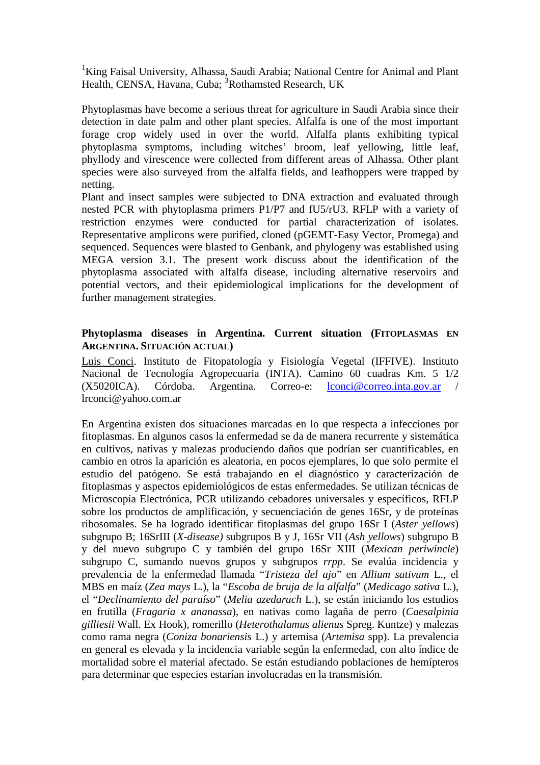<sup>1</sup>King Faisal University, Alhassa, Saudi Arabia; National Centre for Animal and Plant Health, CENSA, Havana, Cuba; <sup>3</sup>Rothamsted Research, UK

Phytoplasmas have become a serious threat for agriculture in Saudi Arabia since their detection in date palm and other plant species. Alfalfa is one of the most important forage crop widely used in over the world. Alfalfa plants exhibiting typical phytoplasma symptoms, including witches' broom, leaf yellowing, little leaf, phyllody and virescence were collected from different areas of Alhassa. Other plant species were also surveyed from the alfalfa fields, and leafhoppers were trapped by netting.

Plant and insect samples were subjected to DNA extraction and evaluated through nested PCR with phytoplasma primers P1/P7 and fU5/rU3. RFLP with a variety of restriction enzymes were conducted for partial characterization of isolates. Representative amplicons were purified, cloned (pGEMT-Easy Vector, Promega) and sequenced. Sequences were blasted to Genbank, and phylogeny was established using MEGA version 3.1. The present work discuss about the identification of the phytoplasma associated with alfalfa disease, including alternative reservoirs and potential vectors, and their epidemiological implications for the development of further management strategies.

## **Phytoplasma diseases in Argentina. Current situation (FITOPLASMAS EN ARGENTINA. SITUACIÓN ACTUAL)**

Luis Conci. Instituto de Fitopatología y Fisiología Vegetal (IFFIVE). Instituto Nacional de Tecnología Agropecuaria (INTA). Camino 60 cuadras Km. 5 1/2 (X5020ICA). Córdoba. Argentina. Correo-e: lconci@correo.inta.gov.ar / lrconci@yahoo.com.ar

En Argentina existen dos situaciones marcadas en lo que respecta a infecciones por fitoplasmas. En algunos casos la enfermedad se da de manera recurrente y sistemática en cultivos, nativas y malezas produciendo daños que podrían ser cuantificables, en cambio en otros la aparición es aleatoria, en pocos ejemplares, lo que solo permite el estudio del patógeno. Se está trabajando en el diagnóstico y caracterización de fitoplasmas y aspectos epidemiológicos de estas enfermedades. Se utilizan técnicas de Microscopía Electrónica, PCR utilizando cebadores universales y específicos, RFLP sobre los productos de amplificación, y secuenciación de genes 16Sr, y de proteínas ribosomales. Se ha logrado identificar fitoplasmas del grupo 16Sr I (*Aster yellows*) subgrupo B; 16SrIII (*X-disease)* subgrupos B y J, 16Sr VII (*Ash yellows*) subgrupo B y del nuevo subgrupo C y también del grupo 16Sr XIII (*Mexican periwincle*) subgrupo C, sumando nuevos grupos y subgrupos *rrpp*. Se evalúa incidencia y prevalencia de la enfermedad llamada "*Tristeza del ajo*" en *Allium sativum* L., el MBS en maíz (*Zea mays* L.), la "*Escoba de bruja de la alfalfa*" (*Medicago sativa* L.), el "*Declinamiento del paraíso*" (*Melia azedarach* L.), se están iniciando los estudios en frutilla (*Fragaria x ananassa*), en nativas como lagaña de perro (*Caesalpinia gilliesii* Wall. Ex Hook), romerillo (*Heterothalamus alienus* Spreg. Kuntze) y malezas como rama negra (*Coniza bonariensis* L.) y artemisa (*Artemisa* spp). La prevalencia en general es elevada y la incidencia variable según la enfermedad, con alto índice de mortalidad sobre el material afectado. Se están estudiando poblaciones de hemípteros para determinar que especies estarían involucradas en la transmisión.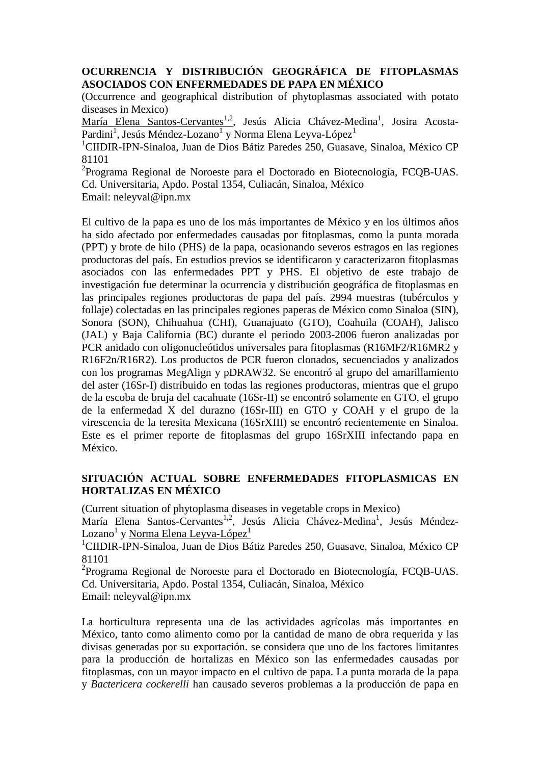## **OCURRENCIA Y DISTRIBUCIÓN GEOGRÁFICA DE FITOPLASMAS ASOCIADOS CON ENFERMEDADES DE PAPA EN MÉXICO**

(Occurrence and geographical distribution of phytoplasmas associated with potato diseases in Mexico)

María Elena Santos-Cervantes<sup>1,2</sup>, Jesús Alicia Chávez-Medina<sup>1</sup>, Josira Acosta-Pardini<sup>1</sup>, Jesús Méndez-Lozano<sup>1</sup> y Norma Elena Leyva-López<sup>1</sup>

<sup>1</sup>CIIDIR-IPN-Sinaloa, Juan de Dios Bátiz Paredes 250, Guasave, Sinaloa, México CP 81101

<sup>2</sup>Programa Regional de Noroeste para el Doctorado en Biotecnología, FCQB-UAS. Cd. Universitaria, Apdo. Postal 1354, Culiacán, Sinaloa, México

Email: neleyval@ipn.mx

El cultivo de la papa es uno de los más importantes de México y en los últimos años ha sido afectado por enfermedades causadas por fitoplasmas, como la punta morada (PPT) y brote de hilo (PHS) de la papa, ocasionando severos estragos en las regiones productoras del país. En estudios previos se identificaron y caracterizaron fitoplasmas asociados con las enfermedades PPT y PHS. El objetivo de este trabajo de investigación fue determinar la ocurrencia y distribución geográfica de fitoplasmas en las principales regiones productoras de papa del país. 2994 muestras (tubérculos y follaje) colectadas en las principales regiones paperas de México como Sinaloa (SIN), Sonora (SON), Chihuahua (CHI), Guanajuato (GTO), Coahuila (COAH), Jalisco (JAL) y Baja California (BC) durante el periodo 2003-2006 fueron analizadas por PCR anidado con oligonucleótidos universales para fitoplasmas (R16MF2/R16MR2 y R16F2n/R16R2). Los productos de PCR fueron clonados, secuenciados y analizados con los programas MegAlign y pDRAW32. Se encontró al grupo del amarillamiento del aster (16Sr-I) distribuido en todas las regiones productoras, mientras que el grupo de la escoba de bruja del cacahuate (16Sr-II) se encontró solamente en GTO, el grupo de la enfermedad X del durazno (16Sr-III) en GTO y COAH y el grupo de la virescencia de la teresita Mexicana (16SrXIII) se encontró recientemente en Sinaloa. Este es el primer reporte de fitoplasmas del grupo 16SrXIII infectando papa en México.

## **SITUACIÓN ACTUAL SOBRE ENFERMEDADES FITOPLASMICAS EN HORTALIZAS EN MÉXICO**

(Current situation of phytoplasma diseases in vegetable crops in Mexico)

María Elena Santos-Cervantes<sup>1,2</sup>, Jesús Alicia Chávez-Medina<sup>1</sup>, Jesús Méndez-Lozano<sup>1</sup> y <u>Norma Elena Leyva-López<sup>1</sup></u>

<sup>1</sup>CIIDIR-IPN-Sinaloa, Juan de Dios Bátiz Paredes 250, Guasave, Sinaloa, México CP 81101

<sup>2</sup>Programa Regional de Noroeste para el Doctorado en Biotecnología, FCQB-UAS. Cd. Universitaria, Apdo. Postal 1354, Culiacán, Sinaloa, México Email: neleyval@ipn.mx

La horticultura representa una de las actividades agrícolas más importantes en México, tanto como alimento como por la cantidad de mano de obra requerida y las divisas generadas por su exportación. se considera que uno de los factores limitantes para la producción de hortalizas en México son las enfermedades causadas por fitoplasmas, con un mayor impacto en el cultivo de papa. La punta morada de la papa y *Bactericera cockerelli* han causado severos problemas a la producción de papa en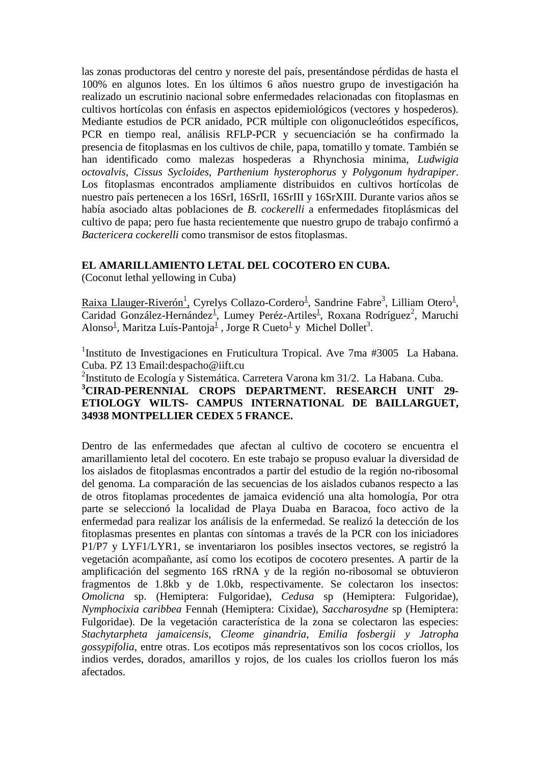las zonas productoras del centro y noreste del país, presentándose pérdidas de hasta el 100% en algunos lotes. En los últimos 6 años nuestro grupo de investigación ha realizado un escrutinio nacional sobre enfermedades relacionadas con fitoplasmas en cultivos hortícolas con énfasis en aspectos epidemiológicos (vectores y hospederos). Mediante estudios de PCR anidado, PCR múltiple con oligonucleótidos específicos, PCR en tiempo real, análisis RFLP-PCR y secuenciación se ha confirmado la presencia de fitoplasmas en los cultivos de chile, papa, tomatillo y tomate. También se han identificado como malezas hospederas a Rhynchosia minima, *Ludwigia octovalvis*, *Cissus Sycloides*, *Parthenium hysterophorus* y *Polygonum hydrapiper*. Los fitoplasmas encontrados ampliamente distribuidos en cultivos hortícolas de nuestro país pertenecen a los 16SrI, 16SrII, 16SrIII y 16SrXIII. Durante varios años se había asociado altas poblaciones de *B. cockerelli* a enfermedades fitoplásmicas del cultivo de papa; pero fue hasta recientemente que nuestro grupo de trabajo confirmó a *Bactericera cockerelli* como transmisor de estos fitoplasmas.

## **EL AMARILLAMIENTO LETAL DEL COCOTERO EN CUBA.**

(Coconut lethal yellowing in Cuba)

Raixa Llauger-Riverón<sup>1</sup>, Cyrelys Collazo-Cordero<sup>1</sup>, Sandrine Fabre<sup>3</sup>, Lilliam Otero<sup>1</sup>, Caridad González-Hernández<sup>1</sup>, Lumey Peréz-Artiles<sup>1</sup>, Roxana Rodríguez<sup>2</sup>, Maruchi Alonso<sup>1</sup>, Maritza Luís-Pantoja<sup>1</sup>, Jorge R Cueto<sup>1</sup> y Michel Dollet<sup>3</sup>.

<sup>1</sup>Instituto de Investigaciones en Fruticultura Tropical. Ave 7ma #3005 La Habana. Cuba. PZ 13 Email:despacho@iift.cu

## <sup>2</sup>Instituto de Ecología y Sistemática. Carretera Varona km 31/2. La Habana. Cuba. **<sup>3</sup>CIRAD-PERENNIAL CROPS DEPARTMENT. RESEARCH UNIT 29- ETIOLOGY WILTS- CAMPUS INTERNATIONAL DE BAILLARGUET, 34938 MONTPELLIER CEDEX 5 FRANCE.**

Dentro de las enfermedades que afectan al cultivo de cocotero se encuentra el amarillamiento letal del cocotero. En este trabajo se propuso evaluar la diversidad de los aislados de fitoplasmas encontrados a partir del estudio de la región no-ribosomal del genoma. La comparación de las secuencias de los aislados cubanos respecto a las de otros fitoplamas procedentes de jamaica evidenció una alta homología, Por otra parte se seleccionó la localidad de Playa Duaba en Baracoa, foco activo de la enfermedad para realizar los análisis de la enfermedad. Se realizó la detección de los fitoplasmas presentes en plantas con síntomas a través de la PCR con los iniciadores P1/P7 y LYF1/LYR1, se inventariaron los posibles insectos vectores, se registró la vegetación acompañante, así como los ecotipos de cocotero presentes. A partir de la amplificación del segmento 16S rRNA y de la región no-ribosomal se obtuvieron fragmentos de 1.8kb y de 1.0kb, respectivamente. Se colectaron los insectos: *Omolicna* sp. (Hemiptera: Fulgoridae), *Cedusa* sp (Hemiptera: Fulgoridae), *Nymphocixia caribbea* Fennah (Hemiptera: Cixidae), *Saccharosydne* sp (Hemiptera: Fulgoridae). De la vegetación característica de la zona se colectaron las especies: *Stachytarpheta jamaicensis, Cleome ginandria, Emilia fosbergii y Jatropha gossypifolia*, entre otras. Los ecotipos más representativos son los cocos criollos, los indios verdes, dorados, amarillos y rojos, de los cuales los criollos fueron los más afectados.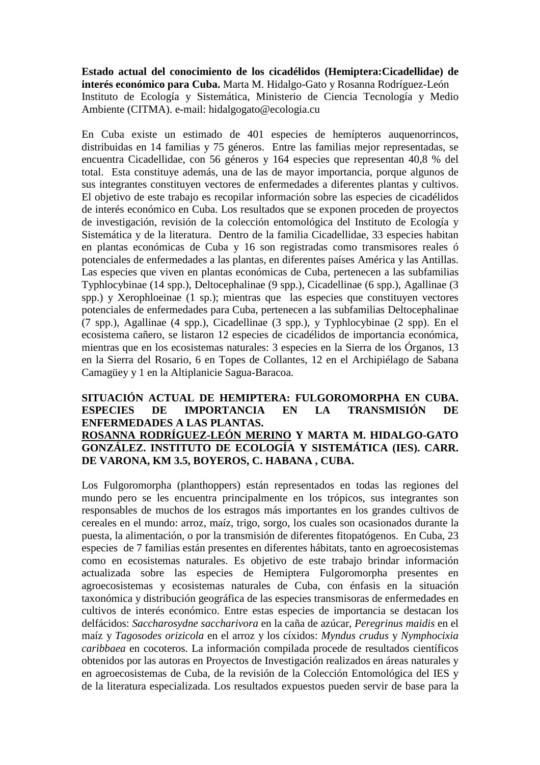**Estado actual del conocimiento de los cicadélidos (Hemiptera:Cicadellidae) de interés económico para Cuba.** Marta M. Hidalgo-Gato y Rosanna Rodríguez-León Instituto de Ecología y Sistemática, Ministerio de Ciencia Tecnología y Medio Ambiente (CITMA). e-mail: hidalgogato@ecologia.cu

En Cuba existe un estimado de 401 especies de hemípteros auquenorrincos, distribuidas en 14 familias y 75 géneros. Entre las familias mejor representadas, se encuentra Cicadellidae, con 56 géneros y 164 especies que representan 40,8 % del total. Esta constituye además, una de las de mayor importancia, porque algunos de sus integrantes constituyen vectores de enfermedades a diferentes plantas y cultivos. El objetivo de este trabajo es recopilar información sobre las especies de cicadélidos de interés económico en Cuba. Los resultados que se exponen proceden de proyectos de investigación, revisión de la colección entomológica del Instituto de Ecología y Sistemática y de la literatura. Dentro de la familia Cicadellidae, 33 especies habitan en plantas económicas de Cuba y 16 son registradas como transmisores reales ó potenciales de enfermedades a las plantas, en diferentes países América y las Antillas. Las especies que viven en plantas económicas de Cuba, pertenecen a las subfamilias Typhlocybinae (14 spp.), Deltocephalinae (9 spp.), Cicadellinae (6 spp.), Agallinae (3 spp.) y Xerophloeinae (1 sp.); mientras que las especies que constituyen vectores potenciales de enfermedades para Cuba, pertenecen a las subfamilias Deltocephalinae (7 spp.), Agallinae (4 spp.), Cicadellinae (3 spp.), y Typhlocybinae (2 spp). En el ecosistema cañero, se listaron 12 especies de cicadélidos de importancia económica, mientras que en los ecosistemas naturales: 3 especies en la Sierra de los Órganos, 13 en la Sierra del Rosario, 6 en Topes de Collantes, 12 en el Archipiélago de Sabana Camagüey y 1 en la Altiplanicie Sagua-Baracoa.

## **SITUACIÓN ACTUAL DE HEMIPTERA: FULGOROMORPHA EN CUBA. ESPECIES DE IMPORTANCIA EN LA TRANSMISIÓN DE ENFERMEDADES A LAS PLANTAS. ROSANNA RODRÍGUEZ-LEÓN MERINO Y MARTA M. HIDALGO-GATO GONZÁLEZ. INSTITUTO DE ECOLOGÍA Y SISTEMÁTICA (IES). CARR. DE VARONA, KM 3.5, BOYEROS, C. HABANA , CUBA.**

Los Fulgoromorpha (planthoppers) están representados en todas las regiones del mundo pero se les encuentra principalmente en los trópicos, sus integrantes son responsables de muchos de los estragos más importantes en los grandes cultivos de cereales en el mundo: arroz, maíz, trigo, sorgo, los cuales son ocasionados durante la puesta, la alimentación, o por la transmisión de diferentes fitopatógenos. En Cuba, 23 especies de 7 familias están presentes en diferentes hábitats, tanto en agroecosistemas como en ecosistemas naturales. Es objetivo de este trabajo brindar información actualizada sobre las especies de Hemiptera Fulgoromorpha presentes en agroecosistemas y ecosistemas naturales de Cuba, con énfasis en la situación taxonómica y distribución geográfica de las especies transmisoras de enfermedades en cultivos de interés económico. Entre estas especies de importancia se destacan los delfácidos: *Saccharosydne saccharivora* en la caña de azúcar, *Peregrinus maidis* en el maíz y *Tagosodes orizicola* en el arroz y los cíxidos: *Myndus crudus* y *Nymphocixia caribbaea* en cocoteros. La información compilada procede de resultados científicos obtenidos por las autoras en Proyectos de Investigación realizados en áreas naturales y en agroecosistemas de Cuba, de la revisión de la Colección Entomológica del IES y de la literatura especializada. Los resultados expuestos pueden servir de base para la